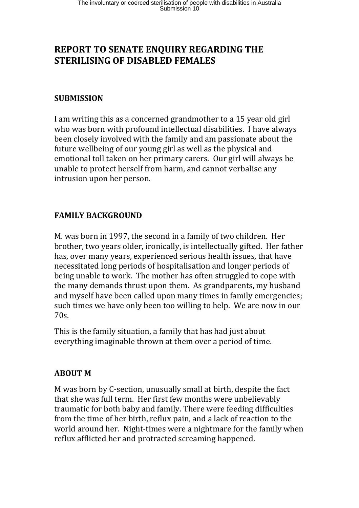# **REPORT TO SENATE ENQUIRY REGARDING THE STERILISING OF DISABLED FEMALES**

### **SUBMISSION**

I am writing this as a concerned grandmother to a 15 year old girl who was born with profound intellectual disabilities. I have always been closely involved with the family and am passionate about the future wellbeing of our young girl as well as the physical and emotional toll taken on her primary carers. Our girl will always be unable to protect herself from harm, and cannot verbalise any intrusion upon her person.

### **FAMILY BACKGROUND**

M. was born in 1997, the second in a family of two children. Her brother, two years older, ironically, is intellectually gifted. Her father has, over many years, experienced serious health issues, that have necessitated long periods of hospitalisation and longer periods of being unable to work. The mother has often struggled to cope with the many demands thrust upon them. As grandparents, my husband and myself have been called upon many times in family emergencies; such times we have only been too willing to help. We are now in our 70s.

This is the family situation, a family that has had just about everything imaginable thrown at them over a period of time.

### **ABOUT M**

M was born by C-section, unusually small at birth, despite the fact that she was full term. Her first few months were unbelievably traumatic for both baby and family. There were feeding difficulties from the time of her birth, reflux pain, and a lack of reaction to the world around her. Night-times were a nightmare for the family when reflux afflicted her and protracted screaming happened.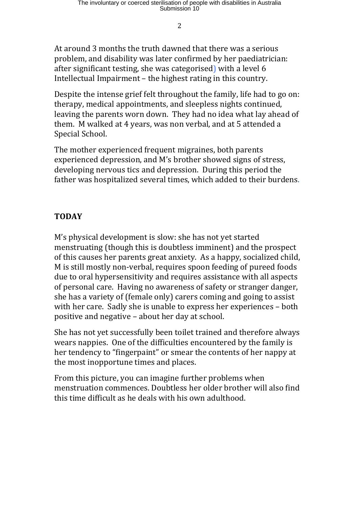2

At around 3 months the truth dawned that there was a serious problem, and disability was later confirmed by her paediatrician: after significant testing, she was categorised) with a level 6 Intellectual Impairment – the highest rating in this country.

Despite the intense grief felt throughout the family, life had to go on: therapy, medical appointments, and sleepless nights continued, leaving the parents worn down. They had no idea what lay ahead of them. M walked at 4 years, was non verbal, and at 5 attended a Special School.

The mother experienced frequent migraines, both parents experienced depression, and M's brother showed signs of stress, developing nervous tics and depression. During this period the father was hospitalized several times, which added to their burdens.

## **TODAY**

M's physical development is slow: she has not yet started menstruating (though this is doubtless imminent) and the prospect of this causes her parents great anxiety. As a happy, socialized child, M is still mostly non-verbal, requires spoon feeding of pureed foods due to oral hypersensitivity and requires assistance with all aspects of personal care. Having no awareness of safety or stranger danger, she has a variety of (female only) carers coming and going to assist with her care. Sadly she is unable to express her experiences – both positive and negative – about her day at school.

She has not yet successfully been toilet trained and therefore always wears nappies. One of the difficulties encountered by the family is her tendency to "fingerpaint" or smear the contents of her nappy at the most inopportune times and places.

From this picture, you can imagine further problems when menstruation commences. Doubtless her older brother will also find this time difficult as he deals with his own adulthood.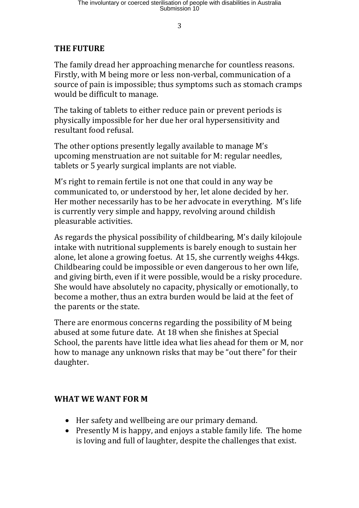3

# **THE FUTURE**

The family dread her approaching menarche for countless reasons. Firstly, with M being more or less non-verbal, communication of a source of pain is impossible; thus symptoms such as stomach cramps would be difficult to manage.

The taking of tablets to either reduce pain or prevent periods is physically impossible for her due her oral hypersensitivity and resultant food refusal.

The other options presently legally available to manage M's upcoming menstruation are not suitable for M: regular needles, tablets or 5 yearly surgical implants are not viable.

M's right to remain fertile is not one that could in any way be communicated to, or understood by her, let alone decided by her. Her mother necessarily has to be her advocate in everything. M's life is currently very simple and happy, revolving around childish pleasurable activities.

As regards the physical possibility of childbearing, M's daily kilojoule intake with nutritional supplements is barely enough to sustain her alone, let alone a growing foetus. At 15, she currently weighs 44kgs. Childbearing could be impossible or even dangerous to her own life, and giving birth, even if it were possible, would be a risky procedure. She would have absolutely no capacity, physically or emotionally, to become a mother, thus an extra burden would be laid at the feet of the parents or the state.

There are enormous concerns regarding the possibility of M being abused at some future date. At 18 when she finishes at Special School, the parents have little idea what lies ahead for them or M, nor how to manage any unknown risks that may be "out there" for their daughter.

### **WHAT WE WANT FOR M**

- Her safety and wellbeing are our primary demand.
- Presently M is happy, and enjoys a stable family life. The home is loving and full of laughter, despite the challenges that exist.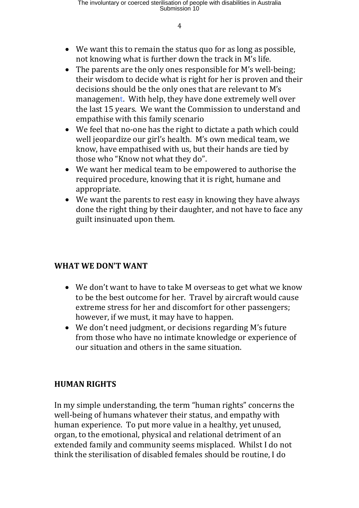- We want this to remain the status quo for as long as possible, not knowing what is further down the track in M's life.
- The parents are the only ones responsible for M's well-being; their wisdom to decide what is right for her is proven and their decisions should be the only ones that are relevant to M's management. With help, they have done extremely well over the last 15 years. We want the Commission to understand and empathise with this family scenario
- We feel that no-one has the right to dictate a path which could well jeopardize our girl's health. M's own medical team, we know, have empathised with us, but their hands are tied by those who "Know not what they do".
- We want her medical team to be empowered to authorise the required procedure, knowing that it is right, humane and appropriate.
- We want the parents to rest easy in knowing they have always done the right thing by their daughter, and not have to face any guilt insinuated upon them.

### **WHAT WE DON'T WANT**

- We don't want to have to take M overseas to get what we know to be the best outcome for her. Travel by aircraft would cause extreme stress for her and discomfort for other passengers; however, if we must, it may have to happen.
- We don't need judgment, or decisions regarding M's future from those who have no intimate knowledge or experience of our situation and others in the same situation.

### **HUMAN RIGHTS**

In my simple understanding, the term "human rights" concerns the well-being of humans whatever their status, and empathy with human experience. To put more value in a healthy, yet unused, organ, to the emotional, physical and relational detriment of an extended family and community seems misplaced. Whilst I do not think the sterilisation of disabled females should be routine, I do